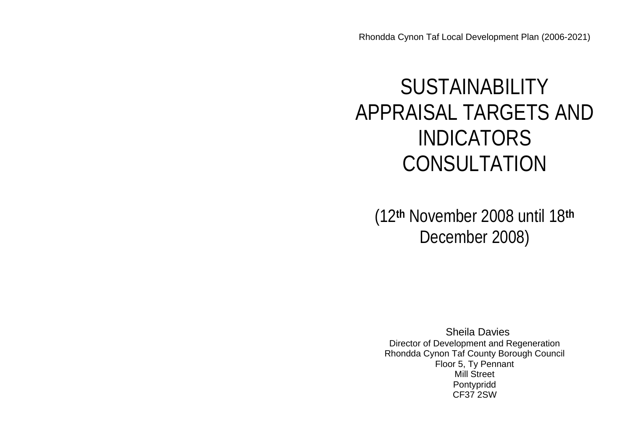Rhondda Cynon Taf Local Development Plan (2006-2021)

# SUSTAINABILITY APPRAISAL TARGETS AND INDICATORS CONSULTATION

(12**th** November 2008 until 18**th** December 2008)

Sheila Davies Director of Development and Regeneration Rhondda Cynon Taf County Borough Council Floor 5, Ty Pennant Mill Street Pontypridd CF37 2SW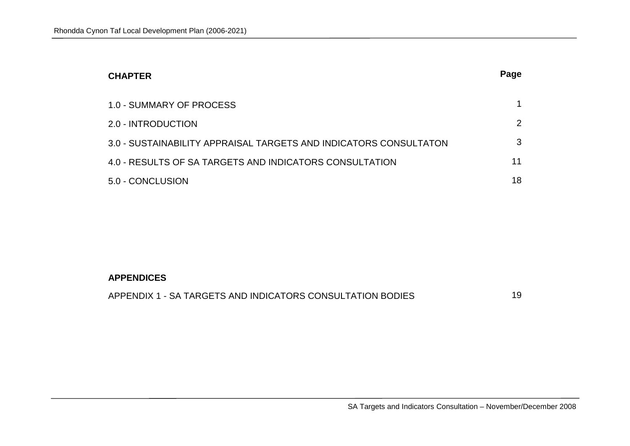| <b>CHAPTER</b>                                                    | Page |
|-------------------------------------------------------------------|------|
| 1.0 - SUMMARY OF PROCESS                                          |      |
| 2.0 - INTRODUCTION                                                | 2    |
| 3.0 - SUSTAINABILITY APPRAISAL TARGETS AND INDICATORS CONSULTATON | 3    |
| 4.0 - RESULTS OF SA TARGETS AND INDICATORS CONSULTATION           | 11   |
| 5.0 - CONCLUSION                                                  | 18   |

### **APPENDICES**

| APPENDIX 1 - SA TARGETS AND INDICATORS CONSULTATION BODIES |  |
|------------------------------------------------------------|--|
|------------------------------------------------------------|--|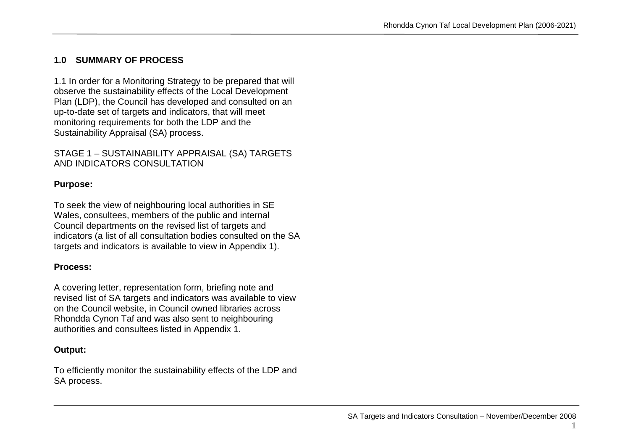### **1.0 SUMMARY OF PROCESS**

1.1 In order for a Monitoring Strategy to be prepared that will observe the sustainability effects of the Local Development Plan (LDP), the Council has developed and consulted on an up-to-date set of targets and indicators, that will meet monitoring requirements for both the LDP and the Sustainability Appraisal (SA) process.

### STAGE 1 – SUSTAINABILITY APPRAISAL (SA) TARGETS AND INDICATORS CONSULTATION

### **Purpose:**

To seek the view of neighbouring local authorities in SE Wales, consultees, members of the public and internal Council departments on the revised list of targets and indicators (a list of all consultation bodies consulted on the SA targets and indicators is available to view in Appendix 1).

### **Process:**

A covering letter, representation form, briefing note and revised list of SA targets and indicators was available to view on the Council website, in Council owned libraries across Rhondda Cynon Taf and was also sent to neighbouring authorities and consultees listed in Appendix 1.

### **Output:**

To efficiently monitor the sustainability effects of the LDP and SA process.

1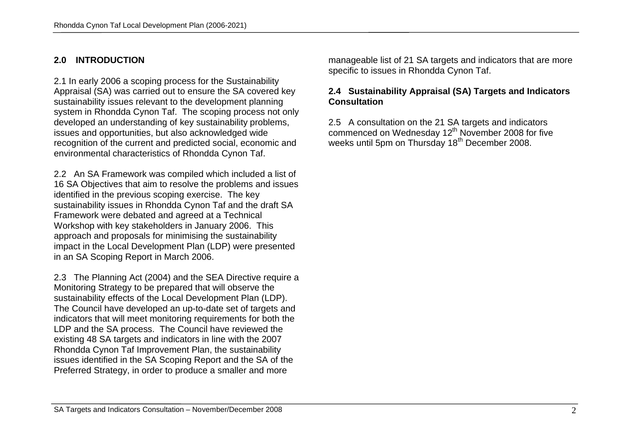### **2.0 INTRODUCTION**

2.1 In early 2006 a scoping process for the Sustainability Appraisal (SA) was carried out to ensure the SA covered key sustainability issues relevant to the development planning system in Rhondda Cynon Taf. The scoping process not only developed an understanding of key sustainability problems, issues and opportunities, but also acknowledged wide recognition of the current and predicted social, economic and environmental characteristics of Rhondda Cynon Taf.

2.2 An SA Framework was compiled which included a list of 16 SA Objectives that aim to resolve the problems and issues identified in the previous scoping exercise. The key sustainability issues in Rhondda Cynon Taf and the draft SA Framework were debated and agreed at a Technical Workshop with key stakeholders in January 2006. This approach and proposals for minimising the sustainability impact in the Local Development Plan (LDP) were presented in an SA Scoping Report in March 2006.

2.3 The Planning Act (2004) and the SEA Directive require a Monitoring Strategy to be prepared that will observe the sustainability effects of the Local Development Plan (LDP). The Council have developed an up-to-date set of targets and indicators that will meet monitoring requirements for both the LDP and the SA process. The Council have reviewed the existing 48 SA targets and indicators in line with the 2007 Rhondda Cynon Taf Improvement Plan, the sustainability issues identified in the SA Scoping Report and the SA of the Preferred Strategy, in order to produce a smaller and more

manageable list of 21 SA targets and indicators that are more specific to issues in Rhondda Cynon Taf.

### **2.4 Sustainability Appraisal (SA) Targets and Indicators Consultation**

2.5 A consultation on the 21 SA targets and indicators commenced on Wednesday 12<sup>th</sup> November 2008 for five weeks until 5pm on Thursday 18<sup>th</sup> December 2008.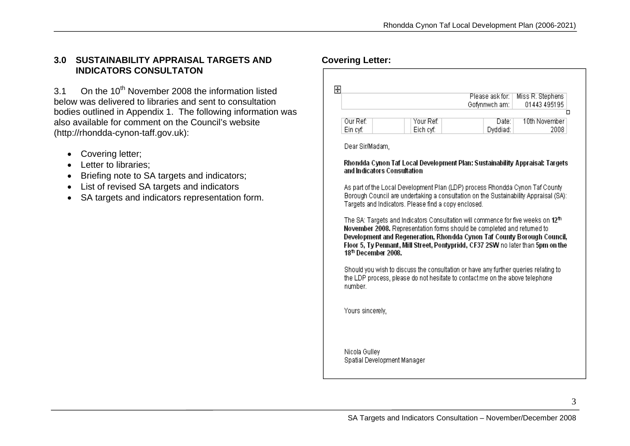#### **3.0 SUSTAINABILITY APPRAISAL TARGETS AND INDICATORS CONSULTATON**

3.1 On the 10<sup>th</sup> November 2008 the information listed below was delivered to libraries and sent to consultation bodies outlined in Appendix 1. The following information was also available for comment on the Council's website (http://rhondda-cynon-taff.gov.uk):

- Covering letter;
- Letter to libraries;
- Briefing note to SA targets and indicators;
- List of revised SA targets and indicators
- SA targets and indicators representation form.

|          |           | Please ask for: | Miss R. Stephens |
|----------|-----------|-----------------|------------------|
|          |           | Gofynnwch am:   | 01443 495195     |
|          |           |                 | □                |
| Our Ref: | Your Ref: | Date:           | 10th November    |
| Ein cyf: | Eich cyf: | Dyddiad:        | 2008             |

#### Rhondda Cynon Taf Local Development Plan: Sustainability Appraisal: Targets and Indicators Consultation

As part of the Local Development Plan (LDP) process Rhondda Cynon Taf County Borough Council are undertaking a consultation on the Sustainability Appraisal (SA): Targets and Indicators. Please find a copy enclosed.

The SA: Targets and Indicators Consultation will commence for five weeks on 12<sup>th</sup> November 2008. Representation forms should be completed and returned to Development and Regeneration, Rhondda Cynon Taf County Borough Council, Floor 5, Ty Pennant, Mill Street, Pontypridd, CF37 2SW no later than 5pm on the 18<sup>th</sup> December 2008.

Should you wish to discuss the consultation or have any further queries relating to the LDP process, please do not hesitate to contact me on the above telephone number.

Yours sincerely,

**Covering Letter:**

Nicola Gullev Spatial Development Manager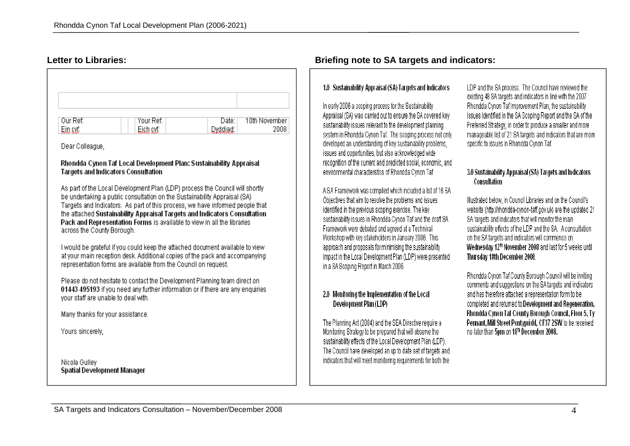| Our Ref:<br>Ein cyf: | Your Ref:<br>Eich cyf: | Date:  <br>Dyddiad: | 10th November<br>2008 |
|----------------------|------------------------|---------------------|-----------------------|

Dear Colleague,

#### Rhondda Cynon Taf Local Development Plan: Sustainability Appraisal **Targets and Indicators Consultation**

As part of the Local Development Plan (LDP) process the Council will shortly be undertaking a public consultation on the Sustainability Appraisal (SA) Targets and Indicators. As part of this process, we have informed people that the attached Sustainability Appraisal Targets and Indicators Consultation Pack and Representation Forms is available to view in all the libraries across the County Borough.

I would be grateful if you could keep the attached document available to view at your main reception desk. Additional copies of the pack and accompanying representation forms are available from the Council on request.

Please do not hesitate to contact the Development Planning team direct on 01443 495193 if you need any further information or if there are any enquiries vour staff are unable to deal with.

Many thanks for your assistance.

Yours sincerely,

Nicola Gulley **Spatial Development Manager** 

### **Letter to Libraries: Briefing note to SA targets and indicators:**

#### 1.0 Sustainability Appraisal (SA) Targets and Indicators

In early 2006 a scoping process for the Sustainability Appraisal (SA) was carried out to ensure the SA covered key sustainability issues relevant to the development planning system in Rhondda Cynon Taf. The scoping process not only developed an understanding of key sustainability problems. issues and opportunities, but also acknowledged wide recognition of the current and predicted social, economic, and environmental characteristics of Rhondda Cynon Taf.

A SA Framework was compiled which included a list of 16 SA Objectives that aim to resolve the problems and issues identified in the previous scoping exercise. The key sustainability issues in Rhondda Cynon Taf and the draft SA Framework were debated and agreed at a Technical Workshop with key stakeholders in January 2006. This approach and proposals for minimising the sustainability impact in the Local Development Plan (LDP) were presented in a SA Scoping Report in March 2006.

#### 2.0 Monitoring the Implementation of the Local Development Plan (LDP)

The Planning Act (2004) and the SEA Directive require a Monitoring Strategy to be prepared that will observe the sustainability effects of the Local Development Plan (LDP). The Council have developed an up to date set of targets and indicators that will meet monitoring requirements for both the

LDP and the SA process. The Council have reviewed the existing 48 SA targets and indicators in line with the 2007 Rhondda Cynon Taf Improvement Plan, the sustainability issues identified in the SA Scoping Report and the SA of the Preferred Strategy, in order to produce a smaller and more manageable list of 21 SA targets and indicators that are more specific to issues in Rhondda Cynon Taf.

#### 3.0 Sustainability Appraisal (SA) Targets and Indicators Consultation

Illustrated below, in Council Libraries and on the Council's website (http://rhondda-cynon-taff.gov.uk) are the updated 21 SA targets and indicators that will monitor the main sustainability effects of the LDP and the SA. A consultation on the SA targets and indicators will commence on Wednesday 12<sup>th</sup> November 2008 and last for 5 weeks until Thursday 18th December 2008.

Rhondda Cynon Taf County Borough Council will be inviting comments and suggestions on the SA targets and indicators and has therefore attached a representation form to be completed and returned to Development and Regeneration. Rhondda Cynon Taf County Borough Council, Floor 5, Ty Pennant, Mill Street Pontypridd, CF37 2SW to be received no later than 5pm on 18th December 2008.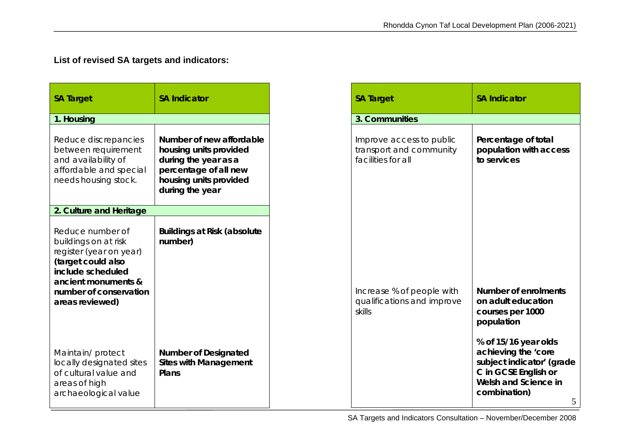## **List of revised SA targets and indicators:**

| <b>SA Target</b>                                                                                                                                                                   | <b>SA Indicator</b>                                                                                                                              |
|------------------------------------------------------------------------------------------------------------------------------------------------------------------------------------|--------------------------------------------------------------------------------------------------------------------------------------------------|
| 1. Housing                                                                                                                                                                         |                                                                                                                                                  |
| Reduce discrepancies<br>between requirement<br>and availability of<br>affordable and special<br>needs housing stock.                                                               | Number of new affordable<br>housing units provided<br>during the year as a<br>percentage of all new<br>housing units provided<br>during the year |
| 2. Culture and Heritage                                                                                                                                                            |                                                                                                                                                  |
| Reduce number of<br>buildings on at risk<br>register (year on year)<br>(target could also<br>include scheduled<br>ancient monuments &<br>number of conservation<br>areas reviewed) | Buildings at Risk (absolute<br>number)                                                                                                           |
| Maintain/protect<br>locally designated sites<br>of cultural value and<br>areas of high<br>archaeological value                                                                     | Number of Designated<br>Sites with Management<br>Plans                                                                                           |

| <b>SA Target</b>                                                          | <b>SA Indicator</b>                                                                                                                                                                                                           |
|---------------------------------------------------------------------------|-------------------------------------------------------------------------------------------------------------------------------------------------------------------------------------------------------------------------------|
| 3. Communities                                                            |                                                                                                                                                                                                                               |
| Improve access to public<br>transport and community<br>facilities for all | Percentage of total<br>population with access<br>to services                                                                                                                                                                  |
| Increase % of people with<br>qualifications and improve<br>skills         | Number of enrolments<br>on adult education<br>courses per 1000<br>population<br>% of 15/16 year olds<br>achieving the 'core<br>subject indicator' (grade<br>C in GCSE English or<br>Welsh and Science in<br>combination)<br>5 |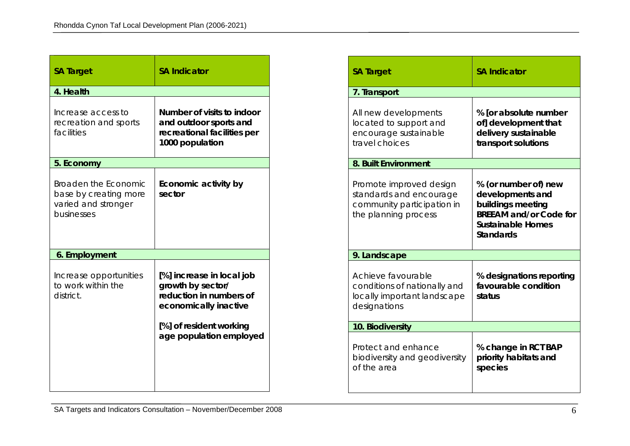| <b>SA Target</b>                                                                   | <b>SA Indicator</b>                                                                                                                                      |
|------------------------------------------------------------------------------------|----------------------------------------------------------------------------------------------------------------------------------------------------------|
| 4. Health                                                                          |                                                                                                                                                          |
| Increase access to<br>recreation and sports<br>facilities                          | Number of visits to indoor<br>and outdoor sports and<br>recreational facilities per<br>1000 population                                                   |
| 5. Economy                                                                         |                                                                                                                                                          |
| Broaden the Economic<br>base by creating more<br>varied and stronger<br>businesses | Economic activity by<br>sector                                                                                                                           |
| 6. Employment                                                                      |                                                                                                                                                          |
| Increase opportunities<br>to work within the<br>district.                          | [%] increase in local job<br>growth by sector/<br>reduction in numbers of<br>economically inactive<br>[%] of resident working<br>age population employed |

| <b>SA Target</b>                                                                                         | <b>SA Indicator</b>                                                                                                              |  |
|----------------------------------------------------------------------------------------------------------|----------------------------------------------------------------------------------------------------------------------------------|--|
| 7. Transport                                                                                             |                                                                                                                                  |  |
| All new developments<br>located to support and<br>encourage sustainable<br>travel choices                | % [or absolute number<br>of] development that<br>delivery sustainable<br>transport solutions                                     |  |
| 8. Built Environment                                                                                     |                                                                                                                                  |  |
| Promote improved design<br>standards and encourage<br>community participation in<br>the planning process | % (or number of) new<br>developments and<br>buildings meeting<br><b>BREEAM and/or Code for</b><br>Sustainable Homes<br>Standards |  |
| 9. Landscape                                                                                             |                                                                                                                                  |  |
| Achieve favourable<br>conditions of nationally and<br>locally important landscape<br>designations        | % designations reporting<br>favourable condition<br>status                                                                       |  |
| 10. Biodiversity                                                                                         |                                                                                                                                  |  |
| Protect and enhance<br>biodiversity and geodiversity<br>of the area                                      | % change in RCT BAP<br>priority habitats and<br>species                                                                          |  |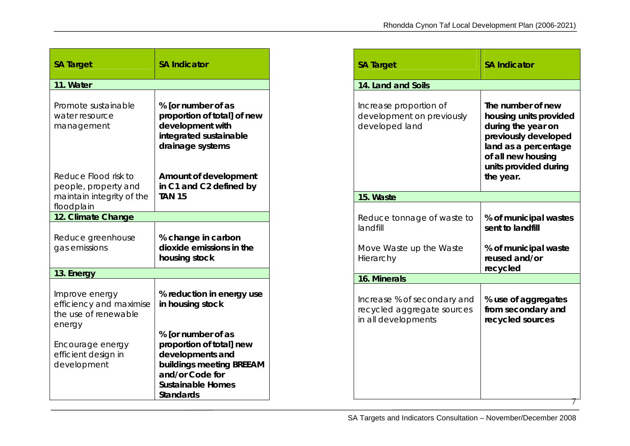| <b>SA Target</b>                                                                        | <b>SA Indicator</b>                                                                                                                                 |  |
|-----------------------------------------------------------------------------------------|-----------------------------------------------------------------------------------------------------------------------------------------------------|--|
| 11. Water                                                                               |                                                                                                                                                     |  |
| Promote sustainable<br>water resource<br>management                                     | % [or number of as<br>proportion of total] of new<br>development with<br>integrated sustainable<br>drainage systems                                 |  |
| Reduce Flood risk to<br>people, property and<br>maintain integrity of the<br>floodplain | Amount of development<br>in C1 and C2 defined by<br><b>TAN 15</b>                                                                                   |  |
| 12. Climate Change                                                                      |                                                                                                                                                     |  |
| Reduce greenhouse<br>gas emissions                                                      | % change in carbon<br>dioxide emissions in the<br>housing stock                                                                                     |  |
| 13. Energy                                                                              |                                                                                                                                                     |  |
| Improve energy<br>efficiency and maximise<br>the use of renewable<br>energy             | % reduction in energy use<br>in housing stock                                                                                                       |  |
| Encourage energy<br>efficient design in<br>development                                  | % [or number of as<br>proportion of total] new<br>developments and<br>buildings meeting BREEAM<br>and/or Code for<br>Sustainable Homes<br>Standards |  |

| <b>SA Target</b>                                                                 | <b>SA Indicator</b>                                                                                                                                                           |
|----------------------------------------------------------------------------------|-------------------------------------------------------------------------------------------------------------------------------------------------------------------------------|
| 14. Land and Soils                                                               |                                                                                                                                                                               |
| Increase proportion of<br>development on previously<br>developed land            | The number of new<br>housing units provided<br>during the year on<br>previously developed<br>land as a percentage<br>of all new housing<br>units provided during<br>the year. |
| 15. Waste                                                                        |                                                                                                                                                                               |
| Reduce tonnage of waste to<br>landfill                                           | % of municipal wastes<br>sent to landfill                                                                                                                                     |
| Move Waste up the Waste<br>Hierarchy                                             | % of municipal waste<br>reused and/or<br>recycled                                                                                                                             |
| 16. Minerals                                                                     |                                                                                                                                                                               |
| Increase % of secondary and<br>recycled aggregate sources<br>in all developments | % use of aggregates<br>from secondary and<br>recycled sources                                                                                                                 |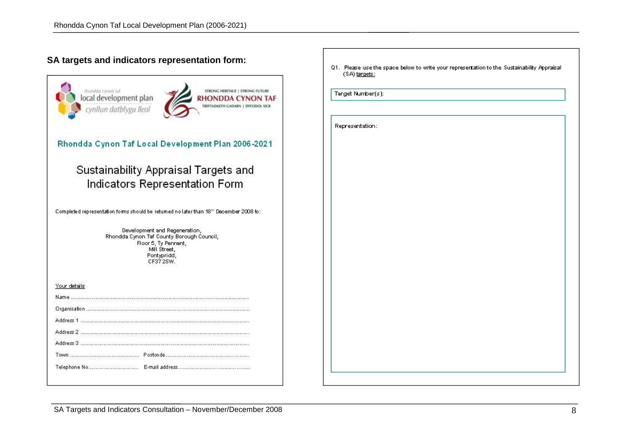### **SA targets and indicators representation form:**

| rhondda cynon tal<br>local development plan<br>cynllun datblygu lleol                  |                                                                                                                                                | STRONG HERITAGE   STRONG FUTURE<br>RHONDDA CYNON TAF<br>TREFTADAETH GADARN   DYFODOL SICR |
|----------------------------------------------------------------------------------------|------------------------------------------------------------------------------------------------------------------------------------------------|-------------------------------------------------------------------------------------------|
| Rhondda Cynon Taf Local Development Plan 2006-2021                                     |                                                                                                                                                |                                                                                           |
|                                                                                        | Sustainability Appraisal Targets and<br>Indicators Representation Form                                                                         |                                                                                           |
| Completed representation forms should be returned no later than 18th December 2008 to: |                                                                                                                                                |                                                                                           |
|                                                                                        | Development and Regeneration,<br>Rhondda Cynon Taf County Borough Council,<br>Floor 5, Ty Pennant,<br>Mill Street.<br>Pontypridd,<br>CF37 2SW. |                                                                                           |
| Your details                                                                           |                                                                                                                                                |                                                                                           |
| Name                                                                                   |                                                                                                                                                |                                                                                           |
|                                                                                        |                                                                                                                                                |                                                                                           |
| Address 1                                                                              |                                                                                                                                                |                                                                                           |
| Address 2                                                                              |                                                                                                                                                |                                                                                           |
|                                                                                        |                                                                                                                                                |                                                                                           |
| Address 3                                                                              |                                                                                                                                                |                                                                                           |
|                                                                                        |                                                                                                                                                |                                                                                           |

Q1. Please use the space below to write your representation to the Sustainability Appraisal  $(SA)$  targets: Target Number(s): Representation:

SA Targets and Indicators Consultation – November/December 2008 8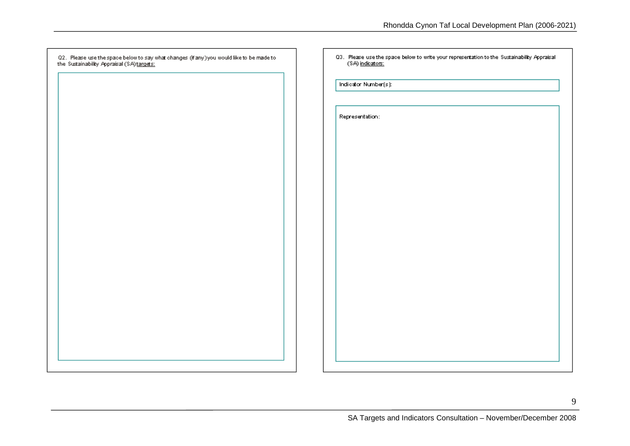| Q2. Please use the space below to say what changes (if any) you would like to be made to the Sustainability Appraisal (SA) <u>targets:</u> | 03. Please use the space below to write your representation to the Sustainability Appraisal (SA) indicators: |
|--------------------------------------------------------------------------------------------------------------------------------------------|--------------------------------------------------------------------------------------------------------------|
|                                                                                                                                            | Indicator Number(s):                                                                                         |
|                                                                                                                                            | Representation:                                                                                              |
|                                                                                                                                            |                                                                                                              |
|                                                                                                                                            |                                                                                                              |
|                                                                                                                                            |                                                                                                              |
|                                                                                                                                            |                                                                                                              |
|                                                                                                                                            |                                                                                                              |
|                                                                                                                                            |                                                                                                              |
|                                                                                                                                            |                                                                                                              |
|                                                                                                                                            |                                                                                                              |
|                                                                                                                                            |                                                                                                              |
|                                                                                                                                            |                                                                                                              |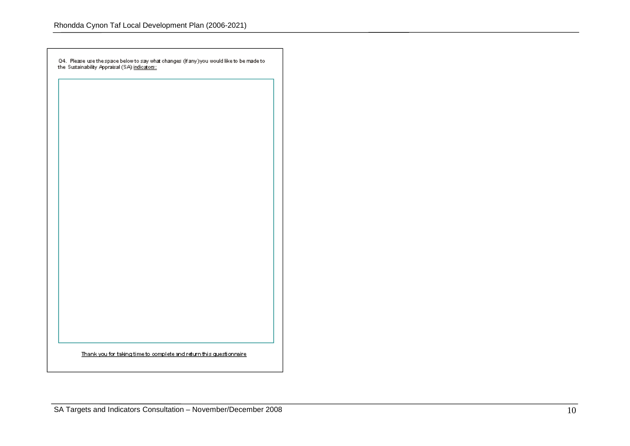Q4. Please use the space below to say what changes (if any) you would like to be made to the Sustainability Appraisal (SA) i<u>ndicators:</u>

Thank you for taking time to complete and return this questionnaire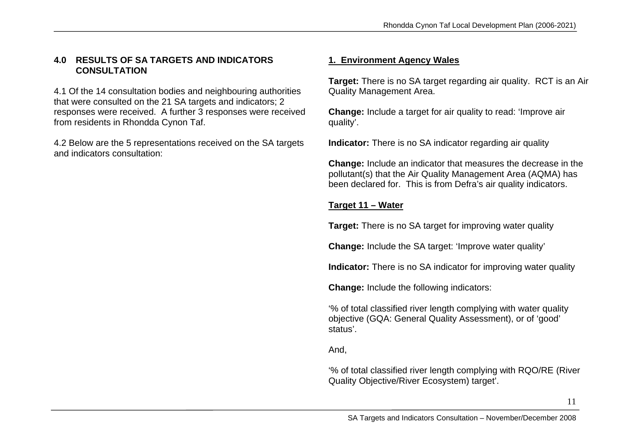### **4.0 RESULTS OF SA TARGETS AND INDICATORS CONSULTATION**

4.1 Of the 14 consultation bodies and neighbouring authorities that were consulted on the 21 SA targets and indicators; 2 responses were received. A further 3 responses were received from residents in Rhondda Cynon Taf.

4.2 Below are the 5 representations received on the SA targets and indicators consultation:

### **1. Environment Agency Wales**

**Target:** There is no SA target regarding air quality. RCT is an Air Quality Management Area.

**Change:** Include a target for air quality to read: 'Improve air quality'.

**Indicator:** There is no SA indicator regarding air quality

**Change:** Include an indicator that measures the decrease in the pollutant(s) that the Air Quality Management Area (AQMA) has been declared for. This is from Defra's air quality indicators.

### **Target 11 – Water**

**Target:** There is no SA target for improving water quality

**Change:** Include the SA target: 'Improve water quality'

**Indicator:** There is no SA indicator for improving water quality

**Change:** Include the following indicators:

'% of total classified river length complying with water quality objective (GQA: General Quality Assessment), or of 'good' status'.

And,

'% of total classified river length complying with RQO/RE (River Quality Objective/River Ecosystem) target'.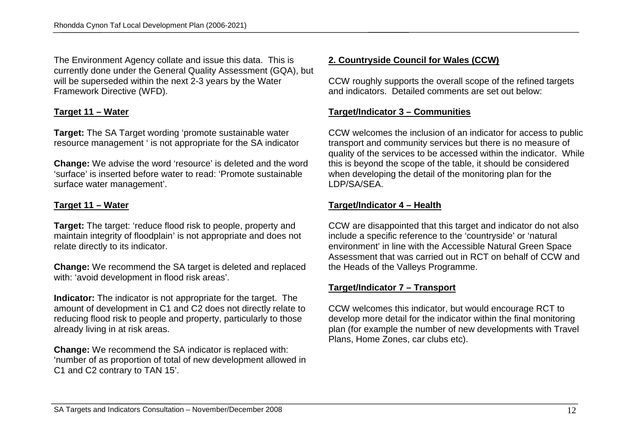The Environment Agency collate and issue this data. This is currently done under the General Quality Assessment (GQA), but will be superseded within the next 2-3 years by the Water Framework Directive (WFD).

### **Target 11 – Water**

**Target:** The SA Target wording 'promote sustainable water resource management ' is not appropriate for the SA indicator

**Change:** We advise the word 'resource' is deleted and the word 'surface' is inserted before water to read: 'Promote sustainable surface water management'.

### **Target 11 – Water**

**Target:** The target: 'reduce flood risk to people, property and maintain integrity of floodplain' is not appropriate and does not relate directly to its indicator.

**Change:** We recommend the SA target is deleted and replaced with: 'avoid development in flood risk areas'.

**Indicator:** The indicator is not appropriate for the target. The amount of development in C1 and C2 does not directly relate to reducing flood risk to people and property, particularly to those already living in at risk areas.

**Change:** We recommend the SA indicator is replaced with: 'number of as proportion of total of new development allowed in C1 and C2 contrary to TAN 15'.

### **2. Countryside Council for Wales (CCW)**

CCW roughly supports the overall scope of the refined targets and indicators. Detailed comments are set out below:

### **Target/Indicator 3 – Communities**

CCW welcomes the inclusion of an indicator for access to public transport and community services but there is no measure of quality of the services to be accessed within the indicator. While this is beyond the scope of the table, it should be considered when developing the detail of the monitoring plan for the LDP/SA/SEA.

### **Target/Indicator 4 – Health**

CCW are disappointed that this target and indicator do not also include a specific reference to the 'countryside' or 'natural environment' in line with the Accessible Natural Green Space Assessment that was carried out in RCT on behalf of CCW and the Heads of the Valleys Programme.

#### **Target/Indicator 7 – Transport**

CCW welcomes this indicator, but would encourage RCT to develop more detail for the indicator within the final monitoring plan (for example the number of new developments with Travel Plans, Home Zones, car clubs etc).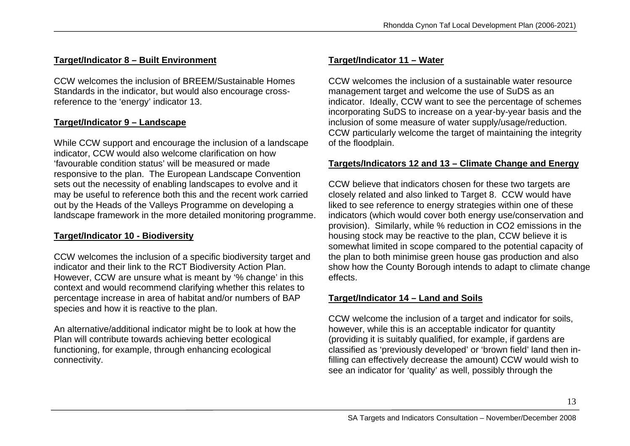### **Target/Indicator 8 – Built Environment**

CCW welcomes the inclusion of BREEM/Sustainable Homes Standards in the indicator, but would also encourage crossreference to the 'energy' indicator 13.

### **Target/Indicator 9 – Landscape**

While CCW support and encourage the inclusion of a landscape indicator, CCW would also welcome clarification on how 'favourable condition status' will be measured or made responsive to the plan. The European Landscape Convention sets out the necessity of enabling landscapes to evolve and it may be useful to reference both this and the recent work carried out by the Heads of the Valleys Programme on developing a landscape framework in the more detailed monitoring programme.

### **Target/Indicator 10 - Biodiversity**

CCW welcomes the inclusion of a specific biodiversity target and indicator and their link to the RCT Biodiversity Action Plan. However, CCW are unsure what is meant by '% change' in this context and would recommend clarifying whether this relates to percentage increase in area of habitat and/or numbers of BAP species and how it is reactive to the plan.

An alternative/additional indicator might be to look at how the Plan will contribute towards achieving better ecological functioning, for example, through enhancing ecological connectivity.

### **Target/Indicator 11 – Water**

CCW welcomes the inclusion of a sustainable water resource management target and welcome the use of SuDS as an indicator. Ideally, CCW want to see the percentage of schemes incorporating SuDS to increase on a year-by-year basis and the inclusion of some measure of water supply/usage/reduction. CCW particularly welcome the target of maintaining the integrity of the floodplain.

### **Targets/Indicators 12 and 13 – Climate Change and Energy**

CCW believe that indicators chosen for these two targets are closely related and also linked to Target 8. CCW would have liked to see reference to energy strategies within one of these indicators (which would cover both energy use/conservation and provision). Similarly, while % reduction in CO2 emissions in the housing stock may be reactive to the plan, CCW believe it is somewhat limited in scope compared to the potential capacity of the plan to both minimise green house gas production and also show how the County Borough intends to adapt to climate change effects.

### **Target/Indicator 14 – Land and Soils**

CCW welcome the inclusion of a target and indicator for soils, however, while this is an acceptable indicator for quantity (providing it is suitably qualified, for example, if gardens are classified as 'previously developed' or 'brown field' land then infilling can effectively decrease the amount) CCW would wish to see an indicator for 'quality' as well, possibly through the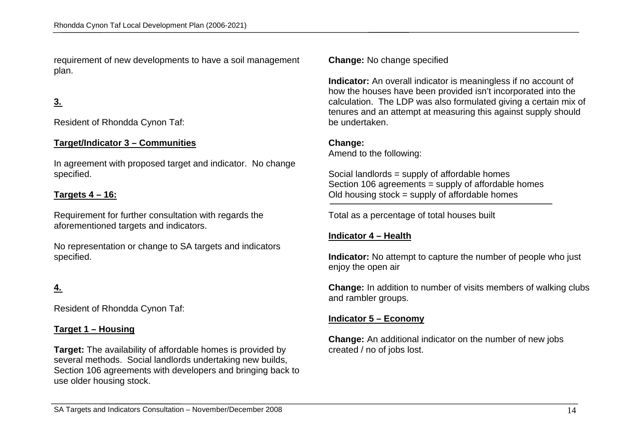requirement of new developments to have a soil management plan.

### **3.**

Resident of Rhondda Cynon Taf:

#### **Target/Indicator 3 – Communities**

In agreement with proposed target and indicator. No change specified.

#### **Targets 4 – 16:**

Requirement for further consultation with regards the aforementioned targets and indicators.

No representation or change to SA targets and indicators specified.

### **4.**

Resident of Rhondda Cynon Taf:

#### **Target 1 – Housing**

**Target:** The availability of affordable homes is provided by several methods. Social landlords undertaking new builds, Section 106 agreements with developers and bringing back to use older housing stock.

**Change:** No change specified

**Indicator:** An overall indicator is meaningless if no account of how the houses have been provided isn't incorporated into the calculation. The LDP was also formulated giving a certain mix of tenures and an attempt at measuring this against supply should be undertaken.

#### **Change:**

 $\overline{a}$ 

Amend to the following:

Social landlords = supply of affordable homes Section 106 agreements = supply of affordable homes Old housing stock = supply of affordable homes

Total as a percentage of total houses built

#### **Indicator 4 – Health**

**Indicator:** No attempt to capture the number of people who just enjoy the open air

**Change:** In addition to number of visits members of walking clubs and rambler groups.

#### **Indicator 5 – Economy**

**Change:** An additional indicator on the number of new jobs created / no of jobs lost.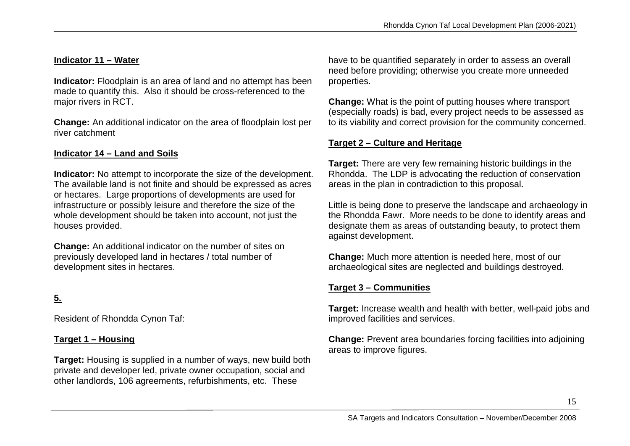### **Indicator 11 – Water**

**Indicator:** Floodplain is an area of land and no attempt has been made to quantify this. Also it should be cross-referenced to the major rivers in RCT.

**Change:** An additional indicator on the area of floodplain lost per river catchment

### **Indicator 14 – Land and Soils**

**Indicator:** No attempt to incorporate the size of the development. The available land is not finite and should be expressed as acres or hectares. Large proportions of developments are used for infrastructure or possibly leisure and therefore the size of the whole development should be taken into account, not just the houses provided.

**Change:** An additional indicator on the number of sites on previously developed land in hectares / total number of development sites in hectares.

### **5.**

Resident of Rhondda Cynon Taf:

#### **Target 1 – Housing**

**Target:** Housing is supplied in a number of ways, new build both private and developer led, private owner occupation, social and other landlords, 106 agreements, refurbishments, etc. These

have to be quantified separately in order to assess an overall need before providing; otherwise you create more unneeded properties.

**Change:** What is the point of putting houses where transport (especially roads) is bad, every project needs to be assessed as to its viability and correct provision for the community concerned.

#### **Target 2 – Culture and Heritage**

**Target:** There are very few remaining historic buildings in the Rhondda. The LDP is advocating the reduction of conservation areas in the plan in contradiction to this proposal.

Little is being done to preserve the landscape and archaeology in the Rhondda Fawr. More needs to be done to identify areas and designate them as areas of outstanding beauty, to protect them against development.

**Change:** Much more attention is needed here, most of our archaeological sites are neglected and buildings destroyed.

#### **Target 3 – Communities**

**Target:** Increase wealth and health with better, well-paid jobs and improved facilities and services.

**Change:** Prevent area boundaries forcing facilities into adjoining areas to improve figures.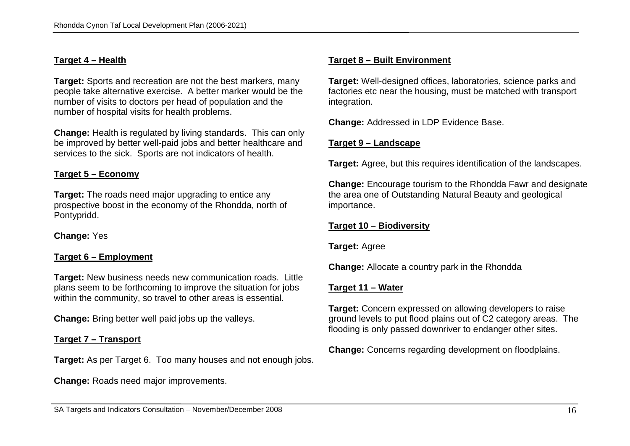#### **Target 4 – Health**

**Target:** Sports and recreation are not the best markers, many people take alternative exercise. A better marker would be the number of visits to doctors per head of population and the number of hospital visits for health problems.

**Change:** Health is regulated by living standards. This can only be improved by better well-paid jobs and better healthcare and services to the sick. Sports are not indicators of health.

#### **Target 5 – Economy**

**Target:** The roads need major upgrading to entice any prospective boost in the economy of the Rhondda, north of Pontypridd.

**Change:** Yes

#### **Target 6 – Employment**

**Target:** New business needs new communication roads. Little plans seem to be forthcoming to improve the situation for jobs within the community, so travel to other areas is essential.

**Change:** Bring better well paid jobs up the valleys.

#### **Target 7 – Transport**

**Target:** As per Target 6. Too many houses and not enough jobs.

**Change:** Roads need major improvements.

#### **Target 8 – Built Environment**

**Target:** Well-designed offices, laboratories, science parks and factories etc near the housing, must be matched with transport integration.

**Change:** Addressed in LDP Evidence Base.

#### **Target 9 – Landscape**

**Target:** Agree, but this requires identification of the landscapes.

**Change:** Encourage tourism to the Rhondda Fawr and designate the area one of Outstanding Natural Beauty and geological importance.

#### **Target 10 – Biodiversity**

**Target:** Agree

**Change:** Allocate a country park in the Rhondda

#### **Target 11 – Water**

**Target:** Concern expressed on allowing developers to raise ground levels to put flood plains out of C2 category areas. The flooding is only passed downriver to endanger other sites.

**Change:** Concerns regarding development on floodplains.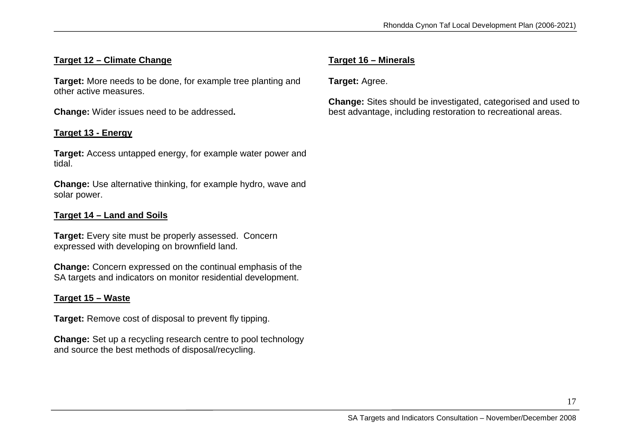### **Target 12 – Climate Change**

**Target:** More needs to be done, for example tree planting and other active measures.

**Change:** Wider issues need to be addressed**.**

#### **Target 13 - Energy**

**Target:** Access untapped energy, for example water power and tidal.

**Change:** Use alternative thinking, for example hydro, wave and solar power.

#### **Target 14 – Land and Soils**

**Target:** Every site must be properly assessed. Concern expressed with developing on brownfield land.

**Change:** Concern expressed on the continual emphasis of the SA targets and indicators on monitor residential development.

#### **Target 15 – Waste**

**Target:** Remove cost of disposal to prevent fly tipping.

**Change:** Set up a recycling research centre to pool technology and source the best methods of disposal/recycling.

### **Target 16 – Minerals**

**Target:** Agree.

**Change:** Sites should be investigated, categorised and used to best advantage, including restoration to recreational areas.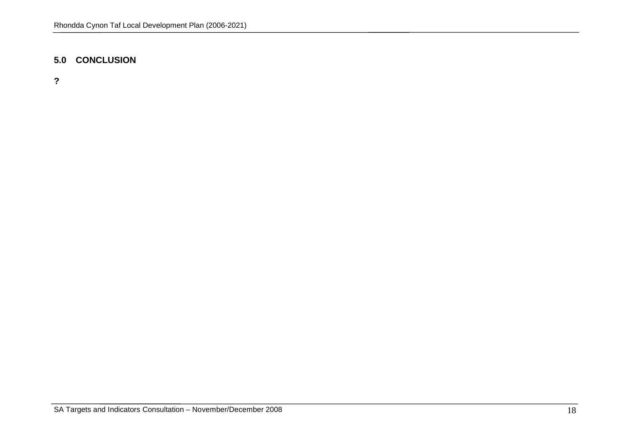### **5.0 CONCLUSION**

**?**